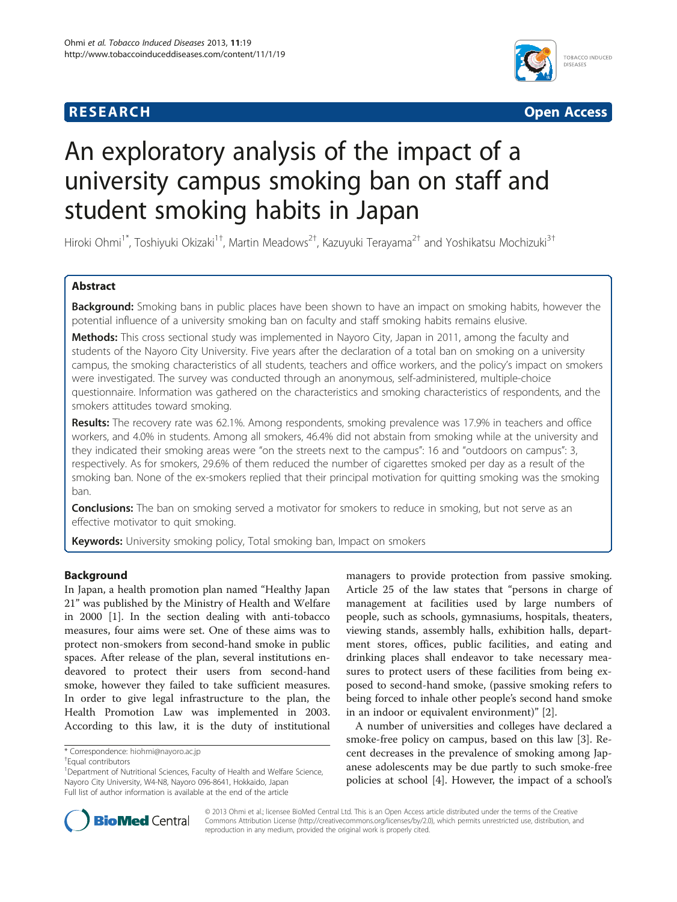## **RESEARCH RESEARCH** *CHECK CHECK CHECK CHECK CHECK CHECK CHECK CHECK CHECK CHECK CHECK CHECK CHECK CHECK CHECK CHECK CHECK CHECK CHECK CHECK CHECK CHECK CHECK CHECK CHECK CHECK CHECK CHECK CHECK CHECK CHECK CHECK CHECK*



# An exploratory analysis of the impact of a university campus smoking ban on staff and student smoking habits in Japan

Hiroki Ohmi<sup>1\*</sup>, Toshiyuki Okizaki<sup>1†</sup>, Martin Meadows<sup>2†</sup>, Kazuyuki Terayama<sup>2†</sup> and Yoshikatsu Mochizuki<sup>3†</sup>

## Abstract

Background: Smoking bans in public places have been shown to have an impact on smoking habits, however the potential influence of a university smoking ban on faculty and staff smoking habits remains elusive.

Methods: This cross sectional study was implemented in Nayoro City, Japan in 2011, among the faculty and students of the Nayoro City University. Five years after the declaration of a total ban on smoking on a university campus, the smoking characteristics of all students, teachers and office workers, and the policy's impact on smokers were investigated. The survey was conducted through an anonymous, self-administered, multiple-choice questionnaire. Information was gathered on the characteristics and smoking characteristics of respondents, and the smokers attitudes toward smoking.

Results: The recovery rate was 62.1%. Among respondents, smoking prevalence was 17.9% in teachers and office workers, and 4.0% in students. Among all smokers, 46.4% did not abstain from smoking while at the university and they indicated their smoking areas were "on the streets next to the campus": 16 and "outdoors on campus": 3, respectively. As for smokers, 29.6% of them reduced the number of cigarettes smoked per day as a result of the smoking ban. None of the ex-smokers replied that their principal motivation for quitting smoking was the smoking ban.

**Conclusions:** The ban on smoking served a motivator for smokers to reduce in smoking, but not serve as an effective motivator to quit smoking.

Keywords: University smoking policy, Total smoking ban, Impact on smokers

## Background

In Japan, a health promotion plan named "Healthy Japan 21" was published by the Ministry of Health and Welfare in 2000 [[1](#page-4-0)]. In the section dealing with anti-tobacco measures, four aims were set. One of these aims was to protect non-smokers from second-hand smoke in public spaces. After release of the plan, several institutions endeavored to protect their users from second-hand smoke, however they failed to take sufficient measures. In order to give legal infrastructure to the plan, the Health Promotion Law was implemented in 2003. According to this law, it is the duty of institutional

managers to provide protection from passive smoking. Article 25 of the law states that "persons in charge of management at facilities used by large numbers of people, such as schools, gymnasiums, hospitals, theaters, viewing stands, assembly halls, exhibition halls, department stores, offices, public facilities, and eating and drinking places shall endeavor to take necessary measures to protect users of these facilities from being exposed to second-hand smoke, (passive smoking refers to being forced to inhale other people's second hand smoke in an indoor or equivalent environment)" [\[2](#page-4-0)].

A number of universities and colleges have declared a smoke-free policy on campus, based on this law [[3\]](#page-4-0). Recent decreases in the prevalence of smoking among Japanese adolescents may be due partly to such smoke-free policies at school [\[4](#page-4-0)]. However, the impact of a school's



© 2013 Ohmi et al.; licensee BioMed Central Ltd. This is an Open Access article distributed under the terms of the Creative Commons Attribution License [\(http://creativecommons.org/licenses/by/2.0\)](http://creativecommons.org/licenses/by/2.0), which permits unrestricted use, distribution, and reproduction in any medium, provided the original work is properly cited.

<sup>\*</sup> Correspondence: [hiohmi@nayoro.ac.jp](mailto:hiohmi@nayoro.ac.jp) †

Equal contributors

<sup>&</sup>lt;sup>1</sup>Department of Nutritional Sciences, Faculty of Health and Welfare Science, Nayoro City University, W4-N8, Nayoro 096-8641, Hokkaido, Japan Full list of author information is available at the end of the article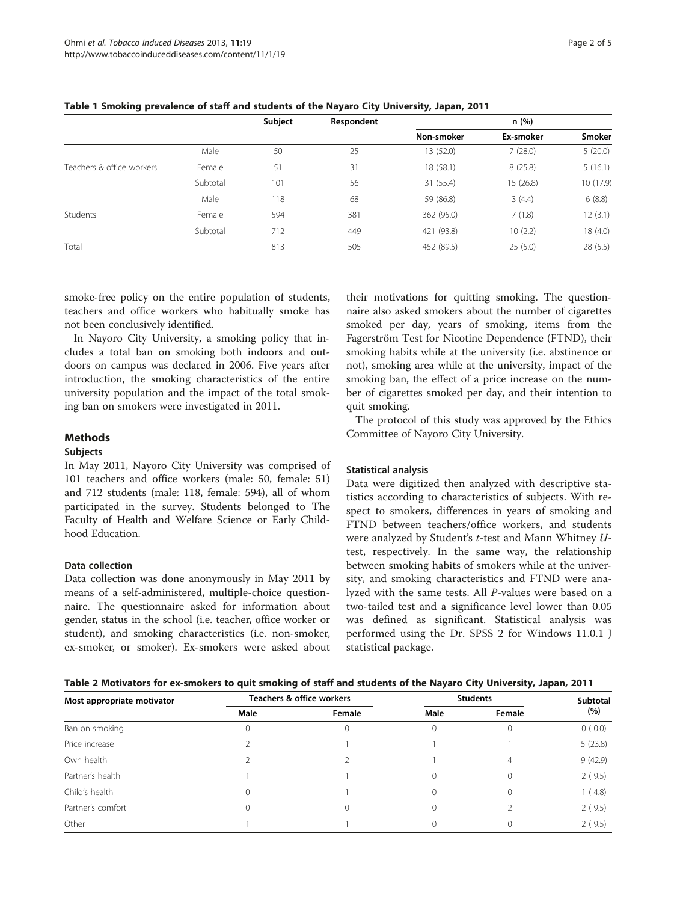|                                       |          | Subject | Respondent | n(%)       |           |           |
|---------------------------------------|----------|---------|------------|------------|-----------|-----------|
|                                       |          |         |            | Non-smoker | Ex-smoker | Smoker    |
|                                       | Male     | 50      | 25         | 13 (52.0)  | 7(28.0)   | 5(20.0)   |
| Teachers & office workers<br>Students | Female   | 51      | 31         | 18 (58.1)  | 8(25.8)   | 5(16.1)   |
|                                       | Subtotal | 101     | 56         | 31 (55.4)  | 15 (26.8) | 10 (17.9) |
|                                       | Male     | 118     | 68         | 59 (86.8)  | 3(4.4)    | 6(8.8)    |
|                                       | Female   | 594     | 381        | 362 (95.0) | 7(1.8)    | 12(3.1)   |
|                                       | Subtotal | 712     | 449        | 421 (93.8) | 10(2.2)   | 18 (4.0)  |
| Total                                 |          | 813     | 505        | 452 (89.5) | 25(5.0)   | 28(5.5)   |

### <span id="page-1-0"></span>Table 1 Smoking prevalence of staff and students of the Nayaro City University, Japan, 2011

smoke-free policy on the entire population of students, teachers and office workers who habitually smoke has not been conclusively identified.

In Nayoro City University, a smoking policy that includes a total ban on smoking both indoors and outdoors on campus was declared in 2006. Five years after introduction, the smoking characteristics of the entire university population and the impact of the total smoking ban on smokers were investigated in 2011.

## Methods

#### Subjects

In May 2011, Nayoro City University was comprised of 101 teachers and office workers (male: 50, female: 51) and 712 students (male: 118, female: 594), all of whom participated in the survey. Students belonged to The Faculty of Health and Welfare Science or Early Childhood Education.

#### Data collection

Data collection was done anonymously in May 2011 by means of a self-administered, multiple-choice questionnaire. The questionnaire asked for information about gender, status in the school (i.e. teacher, office worker or student), and smoking characteristics (i.e. non-smoker, ex-smoker, or smoker). Ex-smokers were asked about

their motivations for quitting smoking. The questionnaire also asked smokers about the number of cigarettes smoked per day, years of smoking, items from the Fagerström Test for Nicotine Dependence (FTND), their smoking habits while at the university (i.e. abstinence or not), smoking area while at the university, impact of the smoking ban, the effect of a price increase on the number of cigarettes smoked per day, and their intention to quit smoking.

The protocol of this study was approved by the Ethics Committee of Nayoro City University.

#### Statistical analysis

Data were digitized then analyzed with descriptive statistics according to characteristics of subjects. With respect to smokers, differences in years of smoking and FTND between teachers/office workers, and students were analyzed by Student's t-test and Mann Whitney Utest, respectively. In the same way, the relationship between smoking habits of smokers while at the university, and smoking characteristics and FTND were analyzed with the same tests. All P-values were based on a two-tailed test and a significance level lower than 0.05 was defined as significant. Statistical analysis was performed using the Dr. SPSS 2 for Windows 11.0.1 J statistical package.

|  | Table 2 Motivators for ex-smokers to quit smoking of staff and students of the Nayaro City University, Japan, 2011 |  |
|--|--------------------------------------------------------------------------------------------------------------------|--|
|--|--------------------------------------------------------------------------------------------------------------------|--|

| Most appropriate motivator | Teachers & office workers |              | <b>Students</b> |        | Subtotal |
|----------------------------|---------------------------|--------------|-----------------|--------|----------|
|                            | Male                      | Female       | Male            | Female | (%)      |
| Ban on smoking             |                           | $\mathbf{0}$ | C               |        | 0(0.0)   |
| Price increase             |                           |              |                 |        | 5(23.8)  |
| Own health                 |                           |              |                 | 4      | 9(42.9)  |
| Partner's health           |                           |              | C               |        | 2(9.5)   |
| Child's health             | $\Omega$                  |              | C               |        | 1(4.8)   |
| Partner's comfort          |                           | $\Omega$     | C               |        | 2(9.5)   |
| Other                      |                           |              |                 |        | 2(9.5)   |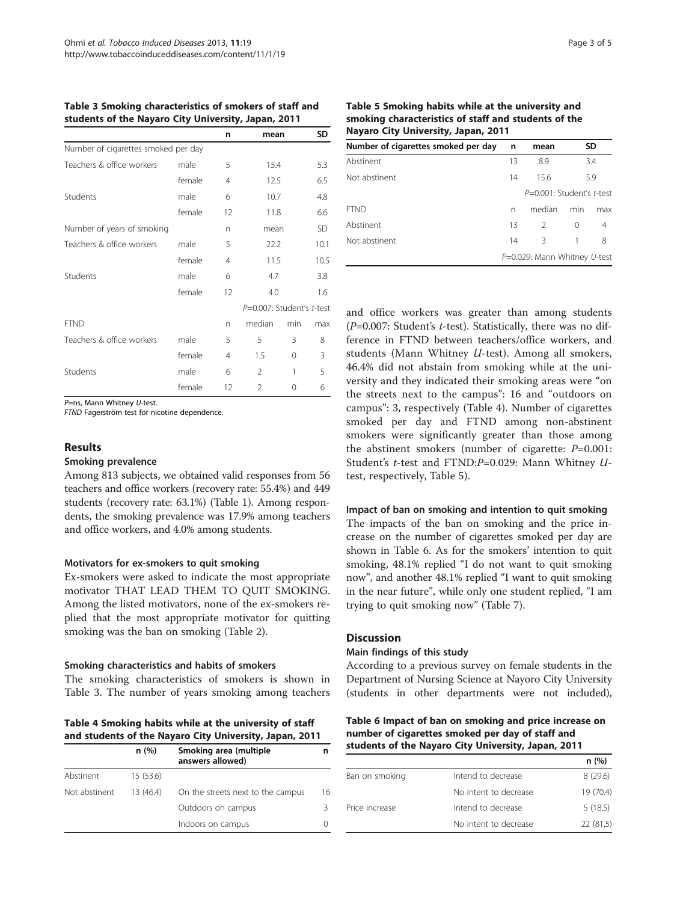|                                     |        | n              | mean                      |          | SD        |
|-------------------------------------|--------|----------------|---------------------------|----------|-----------|
| Number of cigarettes smoked per day |        |                |                           |          |           |
| Teachers & office workers           | male   | 5              | 15.4                      |          | 5.3       |
|                                     | female | $\overline{4}$ | 12.5                      |          | 6.5       |
| Students                            | male   | 6              | 10.7                      |          | 4.8       |
|                                     | female | 12             | 11.8                      |          | 6.6       |
| Number of years of smoking          |        | n              | mean                      |          | <b>SD</b> |
| Teachers & office workers           | male   | 5              | 22.2                      |          | 10.1      |
|                                     | female | $\overline{4}$ | 11.5                      |          | 10.5      |
| Students                            | male   | 6              | 4.7                       |          | 3.8       |
|                                     | female | 12             | 4.0                       |          | 1.6       |
|                                     |        |                | P=0.007: Student's t-test |          |           |
| <b>FTND</b>                         |        | n              | median                    | min      | max       |
| Teachers & office workers           | male   | 5              | 5                         | 3        | 8         |
|                                     | female | 4              | 1.5                       | $\Omega$ | 3         |
| Students                            | male   | 6              | $\mathfrak{D}$            | 1        | 5         |
|                                     | female | 12             | $\overline{2}$            | 0        | 6         |

#### Table 3 Smoking characteristics of smokers of staff and students of the Nayaro City University, Japan, 2011

P=ns, Mann Whitney U-test.

FTND Fagerström test for nicotine dependence.

#### Results

#### Smoking prevalence

Among 813 subjects, we obtained valid responses from 56 teachers and office workers (recovery rate: 55.4%) and 449 students (recovery rate: 63.1%) (Table [1](#page-1-0)). Among respondents, the smoking prevalence was 17.9% among teachers and office workers, and 4.0% among students.

## Motivators for ex-smokers to quit smoking

Ex-smokers were asked to indicate the most appropriate motivator THAT LEAD THEM TO QUIT SMOKING. Among the listed motivators, none of the ex-smokers replied that the most appropriate motivator for quitting smoking was the ban on smoking (Table [2](#page-1-0)).

## Smoking characteristics and habits of smokers

The smoking characteristics of smokers is shown in Table 3. The number of years smoking among teachers

Table 4 Smoking habits while at the university of staff and students of the Nayaro City University, Japan, 2011

| n(%)          |           | Smoking area (multiple<br>answers allowed) | n  |
|---------------|-----------|--------------------------------------------|----|
| Abstinent     | 15 (53.6) |                                            |    |
| Not abstinent | 13(46.4)  | On the streets next to the campus          | 16 |
|               |           | Outdoors on campus                         | 3  |
|               |           | Indoors on campus                          |    |

| Table 5 Smoking habits while at the university and   |
|------------------------------------------------------|
| smoking characteristics of staff and students of the |
| Nayaro City University, Japan, 2011                  |

| Number of cigarettes smoked per day | n  | mean                         |     | SD  |  |
|-------------------------------------|----|------------------------------|-----|-----|--|
| Abstinent                           | 13 | 8.9                          |     | 3.4 |  |
| Not abstinent                       |    | 15.6                         |     | 5.9 |  |
|                                     |    | $P=0.001$ : Student's t-test |     |     |  |
| FTND                                | n  | median                       | min | max |  |
| Abstinent                           | 13 | 2                            | 0   | 4   |  |
| Not abstinent                       | 14 | 3                            | 1   | 8   |  |
|                                     |    | P=0.029: Mann Whitney U-test |     |     |  |

and office workers was greater than among students ( $P=0.007$ : Student's t-test). Statistically, there was no difference in FTND between teachers/office workers, and students (Mann Whitney U-test). Among all smokers, 46.4% did not abstain from smoking while at the university and they indicated their smoking areas were "on the streets next to the campus": 16 and "outdoors on campus": 3, respectively (Table 4). Number of cigarettes smoked per day and FTND among non-abstinent smokers were significantly greater than those among the abstinent smokers (number of cigarette:  $P=0.001$ : Student's t-test and FTND:P=0.029: Mann Whitney Utest, respectively, Table 5).

## Impact of ban on smoking and intention to quit smoking

The impacts of the ban on smoking and the price increase on the number of cigarettes smoked per day are shown in Table 6. As for the smokers' intention to quit smoking, 48.1% replied "I do not want to quit smoking now", and another 48.1% replied "I want to quit smoking in the near future", while only one student replied, "I am trying to quit smoking now" (Table [7\)](#page-3-0).

## **Discussion**

#### Main findings of this study

According to a previous survey on female students in the Department of Nursing Science at Nayoro City University (students in other departments were not included),

Table 6 Impact of ban on smoking and price increase on number of cigarettes smoked per day of staff and students of the Nayaro City University, Japan, 2011

|                |                       | n (%)     |
|----------------|-----------------------|-----------|
| Ban on smoking | Intend to decrease    | 8(29.6)   |
|                | No intent to decrease | 19 (70.4) |
| Price increase | Intend to decrease    | 5(18.5)   |
|                | No intent to decrease | 22 (81.5) |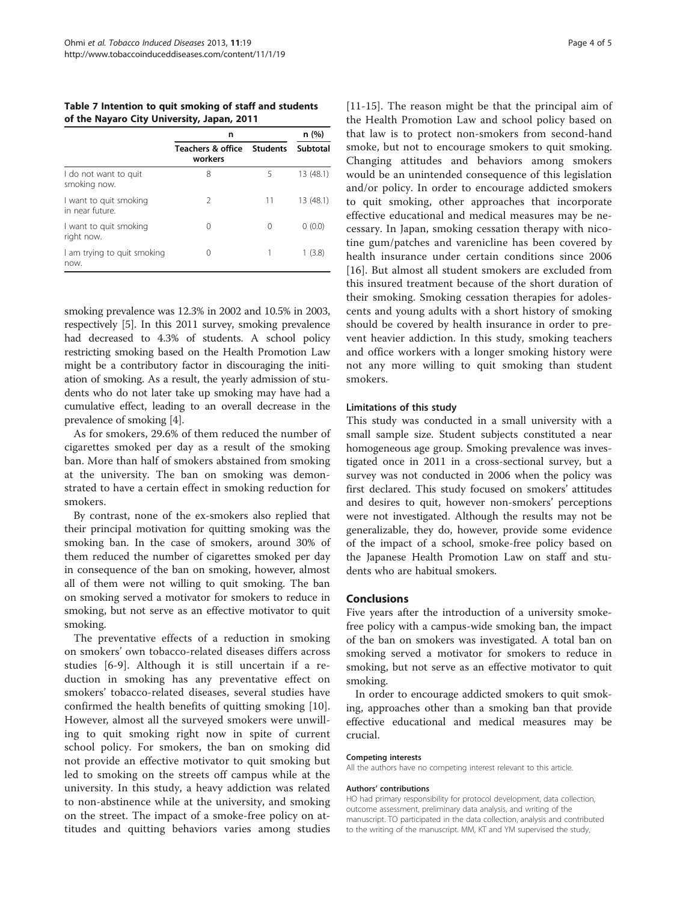<span id="page-3-0"></span>Table 7 Intention to quit smoking of staff and students of the Nayaro City University, Japan, 2011

|                                           | n                                       | n (%)           |           |
|-------------------------------------------|-----------------------------------------|-----------------|-----------|
|                                           | <b>Teachers &amp; office</b><br>workers | <b>Students</b> | Subtotal  |
| I do not want to quit<br>smoking now.     | 8                                       | 5               | 13(48.1)  |
| I want to quit smoking<br>in near future. | 2                                       | 11              | 13 (48.1) |
| I want to quit smoking<br>right now.      | 0                                       | Ω               | 0(0.0)    |
| I am trying to quit smoking<br>now.       | 0                                       |                 | 1 (3.8)   |

smoking prevalence was 12.3% in 2002 and 10.5% in 2003, respectively [\[5](#page-4-0)]. In this 2011 survey, smoking prevalence had decreased to 4.3% of students. A school policy restricting smoking based on the Health Promotion Law might be a contributory factor in discouraging the initiation of smoking. As a result, the yearly admission of students who do not later take up smoking may have had a cumulative effect, leading to an overall decrease in the prevalence of smoking [\[4](#page-4-0)].

As for smokers, 29.6% of them reduced the number of cigarettes smoked per day as a result of the smoking ban. More than half of smokers abstained from smoking at the university. The ban on smoking was demonstrated to have a certain effect in smoking reduction for smokers.

By contrast, none of the ex-smokers also replied that their principal motivation for quitting smoking was the smoking ban. In the case of smokers, around 30% of them reduced the number of cigarettes smoked per day in consequence of the ban on smoking, however, almost all of them were not willing to quit smoking. The ban on smoking served a motivator for smokers to reduce in smoking, but not serve as an effective motivator to quit smoking.

The preventative effects of a reduction in smoking on smokers' own tobacco-related diseases differs across studies [[6-9\]](#page-4-0). Although it is still uncertain if a reduction in smoking has any preventative effect on smokers' tobacco-related diseases, several studies have confirmed the health benefits of quitting smoking [[10](#page-4-0)]. However, almost all the surveyed smokers were unwilling to quit smoking right now in spite of current school policy. For smokers, the ban on smoking did not provide an effective motivator to quit smoking but led to smoking on the streets off campus while at the university. In this study, a heavy addiction was related to non-abstinence while at the university, and smoking on the street. The impact of a smoke-free policy on attitudes and quitting behaviors varies among studies

[[11](#page-4-0)-[15\]](#page-4-0). The reason might be that the principal aim of the Health Promotion Law and school policy based on that law is to protect non-smokers from second-hand smoke, but not to encourage smokers to quit smoking. Changing attitudes and behaviors among smokers would be an unintended consequence of this legislation and/or policy. In order to encourage addicted smokers to quit smoking, other approaches that incorporate effective educational and medical measures may be necessary. In Japan, smoking cessation therapy with nicotine gum/patches and varenicline has been covered by health insurance under certain conditions since 2006 [[16](#page-4-0)]. But almost all student smokers are excluded from this insured treatment because of the short duration of their smoking. Smoking cessation therapies for adolescents and young adults with a short history of smoking should be covered by health insurance in order to prevent heavier addiction. In this study, smoking teachers and office workers with a longer smoking history were not any more willing to quit smoking than student smokers.

#### Limitations of this study

This study was conducted in a small university with a small sample size. Student subjects constituted a near homogeneous age group. Smoking prevalence was investigated once in 2011 in a cross-sectional survey, but a survey was not conducted in 2006 when the policy was first declared. This study focused on smokers' attitudes and desires to quit, however non-smokers' perceptions were not investigated. Although the results may not be generalizable, they do, however, provide some evidence of the impact of a school, smoke-free policy based on the Japanese Health Promotion Law on staff and students who are habitual smokers.

#### Conclusions

Five years after the introduction of a university smokefree policy with a campus-wide smoking ban, the impact of the ban on smokers was investigated. A total ban on smoking served a motivator for smokers to reduce in smoking, but not serve as an effective motivator to quit smoking.

In order to encourage addicted smokers to quit smoking, approaches other than a smoking ban that provide effective educational and medical measures may be crucial.

#### Competing interests

All the authors have no competing interest relevant to this article.

#### Authors' contributions

HO had primary responsibility for protocol development, data collection, outcome assessment, preliminary data analysis, and writing of the manuscript. TO participated in the data collection, analysis and contributed to the writing of the manuscript. MM, KT and YM supervised the study,